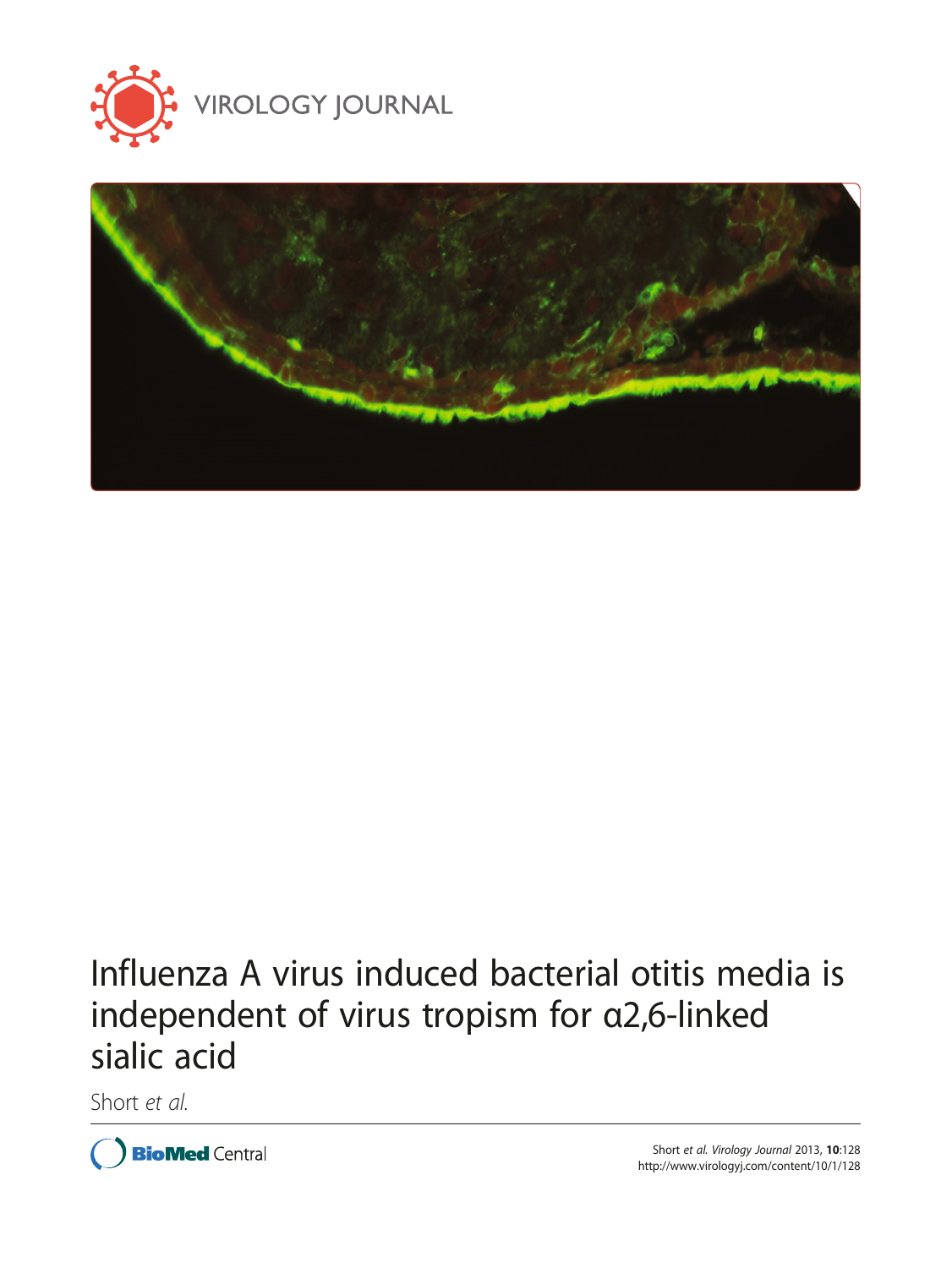



# Influenza A virus induced bacterial otitis media is independent of virus tropism for α2,6-linked sialic acid

Short et al.

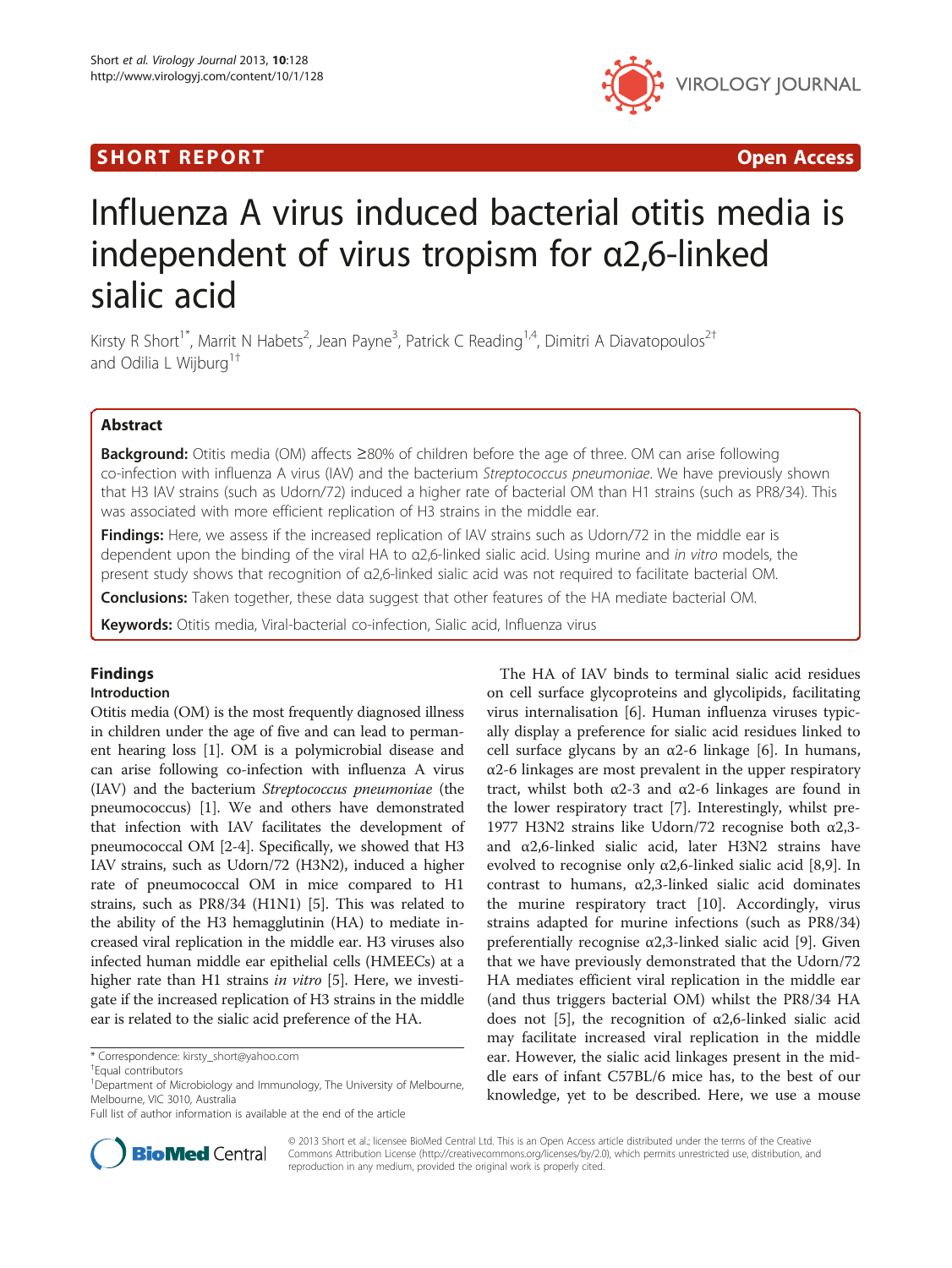## SHORT REPORT **The Contract of the Contract Open Access** (SHORT **Contract of the Contract Open Access**



## Influenza A virus induced bacterial otitis media is independent of virus tropism for α2,6-linked sialic acid

Kirsty R Short<sup>1\*</sup>, Marrit N Habets<sup>2</sup>, Jean Payne<sup>3</sup>, Patrick C Reading<sup>1,4</sup>, Dimitri A Diavatopoulos<sup>2†</sup> and Odilia L Wijburg<sup>1†</sup>

## Abstract

Background: Otitis media (OM) affects ≥80% of children before the age of three. OM can arise following co-infection with influenza A virus (IAV) and the bacterium Streptococcus pneumoniae. We have previously shown that H3 IAV strains (such as Udorn/72) induced a higher rate of bacterial OM than H1 strains (such as PR8/34). This was associated with more efficient replication of H3 strains in the middle ear.

Findings: Here, we assess if the increased replication of IAV strains such as Udorn/72 in the middle ear is dependent upon the binding of the viral HA to α2,6-linked sialic acid. Using murine and in vitro models, the present study shows that recognition of α2,6-linked sialic acid was not required to facilitate bacterial OM.

**Conclusions:** Taken together, these data suggest that other features of the HA mediate bacterial OM.

Keywords: Otitis media, Viral-bacterial co-infection, Sialic acid, Influenza virus

## Findings

## Introduction

Otitis media (OM) is the most frequently diagnosed illness in children under the age of five and can lead to permanent hearing loss [\[1\]](#page-4-0). OM is a polymicrobial disease and can arise following co-infection with influenza A virus (IAV) and the bacterium Streptococcus pneumoniae (the pneumococcus) [[1\]](#page-4-0). We and others have demonstrated that infection with IAV facilitates the development of pneumococcal OM [[2](#page-4-0)-[4\]](#page-4-0). Specifically, we showed that H3 IAV strains, such as Udorn/72 (H3N2), induced a higher rate of pneumococcal OM in mice compared to H1 strains, such as PR8/34 (H1N1) [[5\]](#page-4-0). This was related to the ability of the H3 hemagglutinin (HA) to mediate increased viral replication in the middle ear. H3 viruses also infected human middle ear epithelial cells (HMEECs) at a higher rate than H1 strains in vitro [[5\]](#page-4-0). Here, we investigate if the increased replication of H3 strains in the middle ear is related to the sialic acid preference of the HA.





© 2013 Short et al.; licensee BioMed Central Ltd. This is an Open Access article distributed under the terms of the Creative Commons Attribution License [\(http://creativecommons.org/licenses/by/2.0\)](http://creativecommons.org/licenses/by/2.0), which permits unrestricted use, distribution, and reproduction in any medium, provided the original work is properly cited.

<sup>\*</sup> Correspondence: [kirsty\\_short@yahoo.com](mailto:kirsty_short@yahoo.com) †

Equal contributors

<sup>&</sup>lt;sup>1</sup>Department of Microbiology and Immunology, The University of Melbourne, Melbourne, VIC 3010, Australia

Full list of author information is available at the end of the article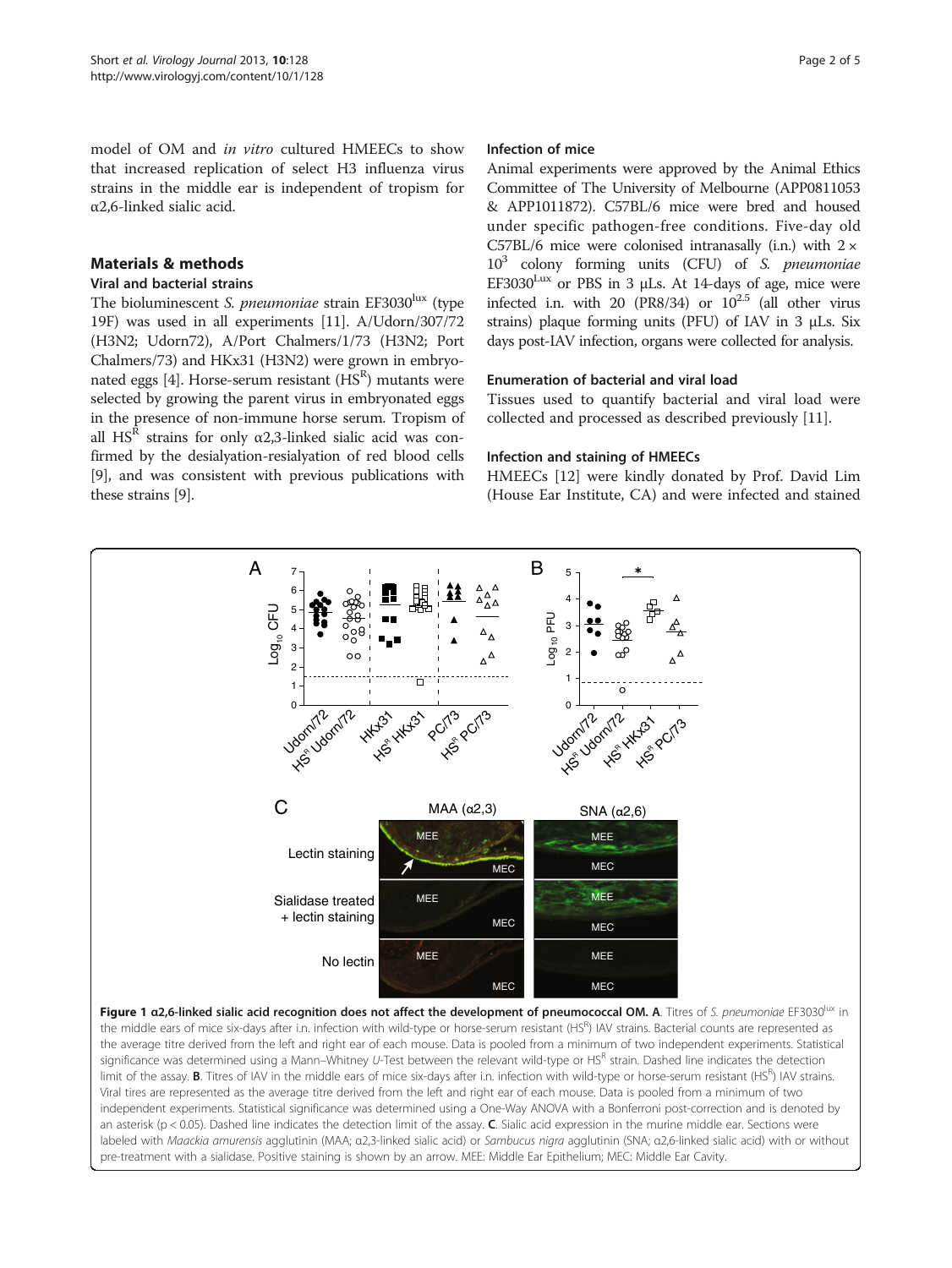<span id="page-2-0"></span>model of OM and in vitro cultured HMEECs to show that increased replication of select H3 influenza virus strains in the middle ear is independent of tropism for α2,6-linked sialic acid.

## Materials & methods

#### Viral and bacterial strains

The bioluminescent S. pneumoniae strain EF3030 $\text{lux}$  (type 19F) was used in all experiments [[11](#page-4-0)]. A/Udorn/307/72 (H3N2; Udorn72), A/Port Chalmers/1/73 (H3N2; Port Chalmers/73) and HKx31 (H3N2) were grown in embryo-nated eggs [\[4\]](#page-4-0). Horse-serum resistant (HS $^{\text{R}}$ ) mutants were selected by growing the parent virus in embryonated eggs in the presence of non-immune horse serum. Tropism of all HS<sup>R</sup> strains for only  $\alpha$ 2,3-linked sialic acid was confirmed by the desialyation-resialyation of red blood cells [[9\]](#page-4-0), and was consistent with previous publications with these strains [[9\]](#page-4-0).

#### Infection of mice

Animal experiments were approved by the Animal Ethics Committee of The University of Melbourne (APP0811053 & APP1011872). C57BL/6 mice were bred and housed under specific pathogen-free conditions. Five-day old C57BL/6 mice were colonised intranasally (i.n.) with  $2 \times$  $10<sup>3</sup>$  colony forming units (CFU) of S. pneumoniae  $EF3030^{Lux}$  or PBS in 3 µLs. At 14-days of age, mice were infected i.n. with 20 (PR8/34) or  $10^{2.5}$  (all other virus strains) plaque forming units (PFU) of IAV in 3 μLs. Six days post-IAV infection, organs were collected for analysis.

## Enumeration of bacterial and viral load

Tissues used to quantify bacterial and viral load were collected and processed as described previously [[11](#page-4-0)].

### Infection and staining of HMEECs

HMEECs [\[12](#page-4-0)] were kindly donated by Prof. David Lim (House Ear Institute, CA) and were infected and stained



Figure 1 α2,6-linked sialic acid recognition does not affect the development of pneumococcal OM. A. Titres of S. pneumoniae EF3030<sup>lux</sup> in the middle ears of mice six-days after i.n. infection with wild-type or horse-serum resistant (HS<sup>R</sup>) IAV strains. Bacterial counts are represented as the average titre derived from the left and right ear of each mouse. Data is pooled from a minimum of two independent experiments. Statistical significance was determined using a Mann–Whitney U-Test between the relevant wild-type or HS<sup>R</sup> strain. Dashed line indicates the detection limit of the assay. **B**. Titres of IAV in the middle ears of mice six-days after i.n. infection with wild-type or horse-serum resistant (HS<sup>R</sup>) IAV strains. Viral tires are represented as the average titre derived from the left and right ear of each mouse. Data is pooled from a minimum of two independent experiments. Statistical significance was determined using a One-Way ANOVA with a Bonferroni post-correction and is denoted by an asterisk (p < 0.05). Dashed line indicates the detection limit of the assay.  $C$ . Sialic acid expression in the murine middle ear. Sections were labeled with Maackia amurensis agglutinin (ΜΑΑ; α2,3-linked sialic acid) or Sambucus nigra agglutinin (SNA; α2,6-linked sialic acid) with or without pre-treatment with a sialidase. Positive staining is shown by an arrow. MEE: Middle Ear Epithelium; MEC: Middle Ear Cavity.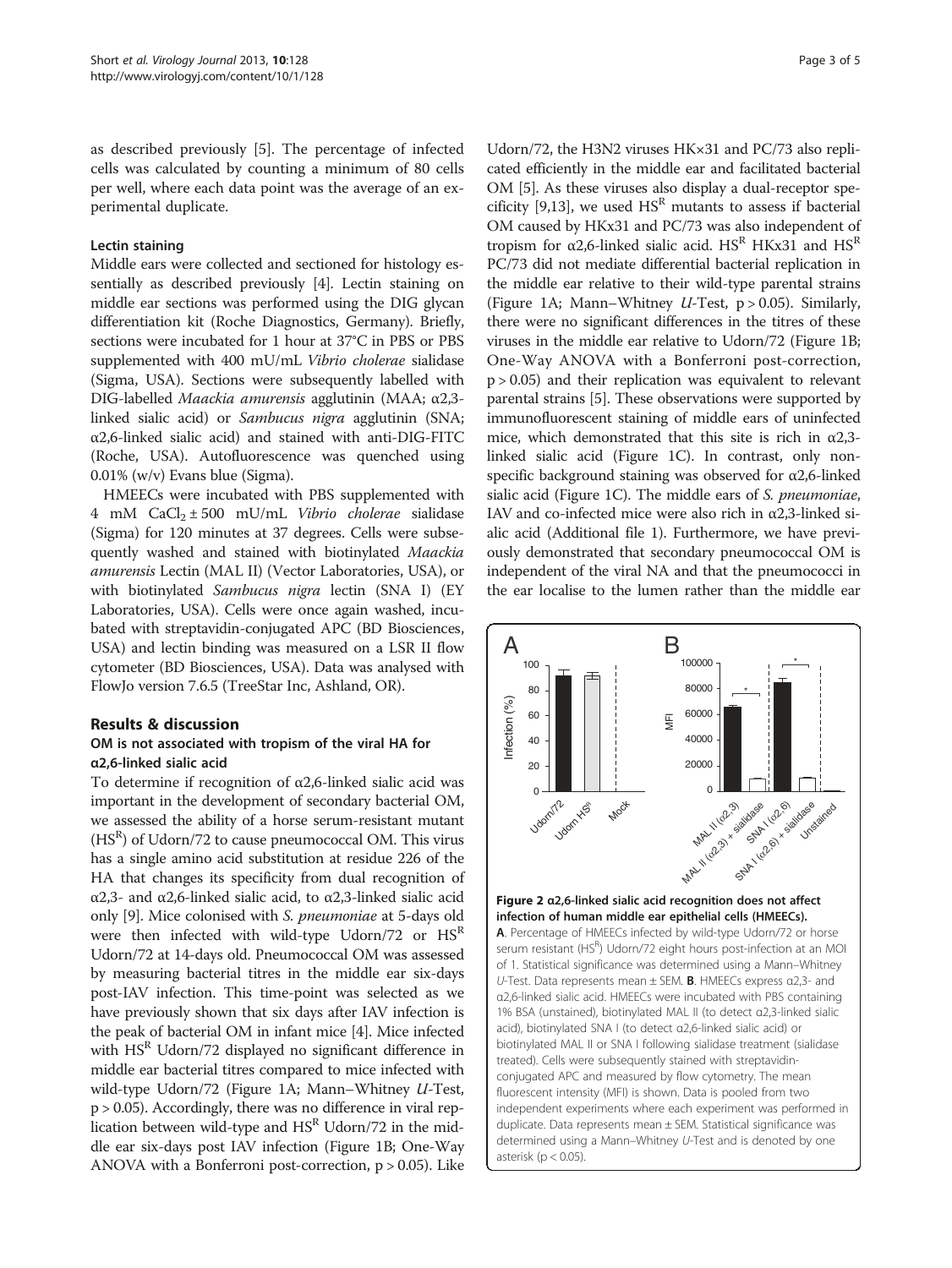<span id="page-3-0"></span>as described previously [[5\]](#page-4-0). The percentage of infected cells was calculated by counting a minimum of 80 cells per well, where each data point was the average of an experimental duplicate.

#### Lectin staining

Middle ears were collected and sectioned for histology essentially as described previously [[4\]](#page-4-0). Lectin staining on middle ear sections was performed using the DIG glycan differentiation kit (Roche Diagnostics, Germany). Briefly, sections were incubated for 1 hour at 37°C in PBS or PBS supplemented with 400 mU/mL Vibrio cholerae sialidase (Sigma, USA). Sections were subsequently labelled with DIG-labelled Maackia amurensis agglutinin (MAA; <sup>α</sup>2,3 linked sialic acid) or Sambucus nigra agglutinin (SNA; α2,6-linked sialic acid) and stained with anti-DIG-FITC (Roche, USA). Autofluorescence was quenched using 0.01% (w/v) Evans blue (Sigma).

HMEECs were incubated with PBS supplemented with 4 mM  $CaCl<sub>2</sub> \pm 500$  mU/mL *Vibrio cholerae* sialidase (Sigma) for 120 minutes at 37 degrees. Cells were subsequently washed and stained with biotinylated Maackia amurensis Lectin (MAL II) (Vector Laboratories, USA), or with biotinylated Sambucus nigra lectin (SNA I) (EY Laboratories, USA). Cells were once again washed, incubated with streptavidin-conjugated APC (BD Biosciences, USA) and lectin binding was measured on a LSR II flow cytometer (BD Biosciences, USA). Data was analysed with FlowJo version 7.6.5 (TreeStar Inc, Ashland, OR).

## Results & discussion

## OM is not associated with tropism of the viral HA for α2,6-linked sialic acid

To determine if recognition of α2,6-linked sialic acid was important in the development of secondary bacterial OM, we assessed the ability of a horse serum-resistant mutant  $(HS<sup>R</sup>)$  of Udorn/72 to cause pneumococcal OM. This virus has a single amino acid substitution at residue 226 of the HA that changes its specificity from dual recognition of α2,3- and α2,6-linked sialic acid, to α2,3-linked sialic acid only [[9\]](#page-4-0). Mice colonised with S. pneumoniae at 5-days old were then infected with wild-type Udorn/72 or  $\text{HS}^R$ Udorn/72 at 14-days old. Pneumococcal OM was assessed by measuring bacterial titres in the middle ear six-days post-IAV infection. This time-point was selected as we have previously shown that six days after IAV infection is the peak of bacterial OM in infant mice [[4\]](#page-4-0). Mice infected with  $HS<sup>R</sup>$  Udorn/72 displayed no significant difference in middle ear bacterial titres compared to mice infected with wild-type Udorn/72 (Figure [1A](#page-2-0); Mann–Whitney U-Test, p > 0.05). Accordingly, there was no difference in viral replication between wild-type and  $\text{HS}^R$  Udorn/72 in the middle ear six-days post IAV infection (Figure [1B](#page-2-0); One-Way ANOVA with a Bonferroni post-correction, p > 0.05). Like

Udorn/72, the H3N2 viruses HK×31 and PC/73 also replicated efficiently in the middle ear and facilitated bacterial OM [\[5](#page-4-0)]. As these viruses also display a dual-receptor spe-cificity [[9](#page-4-0)[,13](#page-5-0)], we used  $HS<sup>R</sup>$  mutants to assess if bacterial OM caused by HKx31 and PC/73 was also independent of tropism for α2,6-linked sialic acid.  $HS<sup>R</sup>$  HKx31 and  $HS<sup>R</sup>$ PC/73 did not mediate differential bacterial replication in the middle ear relative to their wild-type parental strains (Figure [1A](#page-2-0); Mann–Whitney  $U$ -Test, p > 0.05). Similarly, there were no significant differences in the titres of these viruses in the middle ear relative to Udorn/72 (Figure [1B](#page-2-0); One-Way ANOVA with a Bonferroni post-correction, p > 0.05) and their replication was equivalent to relevant parental strains [\[5\]](#page-4-0). These observations were supported by immunofluorescent staining of middle ears of uninfected mice, which demonstrated that this site is rich in  $\alpha$ 2,3linked sialic acid (Figure [1C](#page-2-0)). In contrast, only nonspecific background staining was observed for α2,6-linked sialic acid (Figure [1](#page-2-0)C). The middle ears of S. *pneumoniae*, IAV and co-infected mice were also rich in  $\alpha$ 2,3-linked sialic acid (Additional file [1](#page-4-0)). Furthermore, we have previously demonstrated that secondary pneumococcal OM is independent of the viral NA and that the pneumococci in the ear localise to the lumen rather than the middle ear

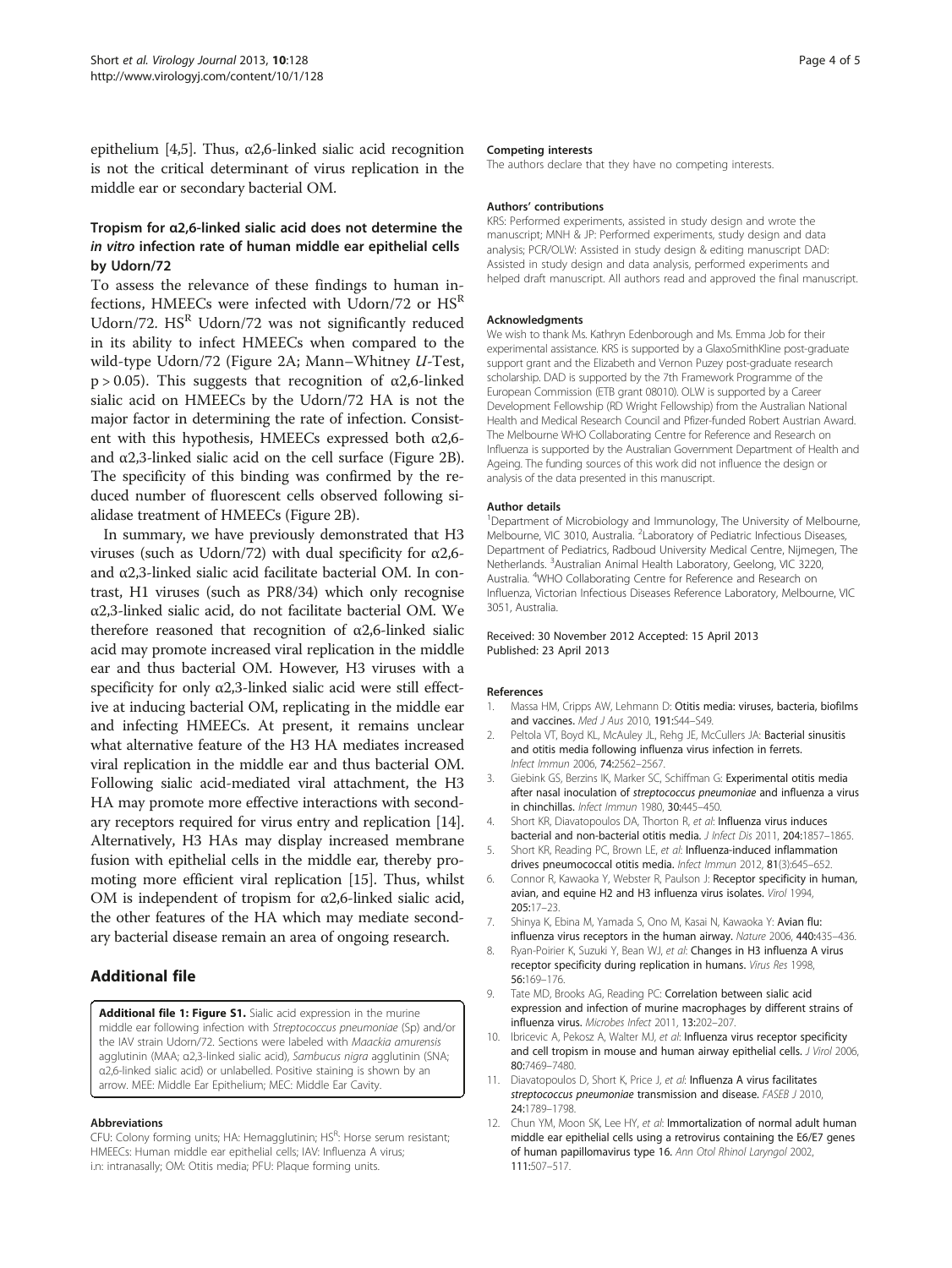<span id="page-4-0"></span>epithelium [4,5]. Thus,  $\alpha$ 2,6-linked sialic acid recognition is not the critical determinant of virus replication in the middle ear or secondary bacterial OM.

## Tropism for α2,6-linked sialic acid does not determine the in vitro infection rate of human middle ear epithelial cells by Udorn/72

To assess the relevance of these findings to human infections, HMEECs were infected with Udorn/72 or  $\text{HS}^R$ Udorn/72.  $HS<sup>R</sup>$  Udorn/72 was not significantly reduced in its ability to infect HMEECs when compared to the wild-type Udorn/72 (Figure [2A](#page-3-0); Mann–Whitney U-Test, p > 0.05). This suggests that recognition of  $\alpha$ 2,6-linked sialic acid on HMEECs by the Udorn/72 HA is not the major factor in determining the rate of infection. Consistent with this hypothesis, HMEECs expressed both α2,6 and  $\alpha$ 2,3-linked sialic acid on the cell surface (Figure [2B](#page-3-0)). The specificity of this binding was confirmed by the reduced number of fluorescent cells observed following sialidase treatment of HMEECs (Figure [2](#page-3-0)B).

In summary, we have previously demonstrated that H3 viruses (such as Udorn/72) with dual specificity for α2,6 and α2,3-linked sialic acid facilitate bacterial OM. In contrast, H1 viruses (such as PR8/34) which only recognise α2,3-linked sialic acid, do not facilitate bacterial OM. We therefore reasoned that recognition of  $\alpha$ 2,6-linked sialic acid may promote increased viral replication in the middle ear and thus bacterial OM. However, H3 viruses with a specificity for only  $\alpha$ 2,3-linked sialic acid were still effective at inducing bacterial OM, replicating in the middle ear and infecting HMEECs. At present, it remains unclear what alternative feature of the H3 HA mediates increased viral replication in the middle ear and thus bacterial OM. Following sialic acid-mediated viral attachment, the H3 HA may promote more effective interactions with secondary receptors required for virus entry and replication [[14](#page-5-0)]. Alternatively, H3 HAs may display increased membrane fusion with epithelial cells in the middle ear, thereby promoting more efficient viral replication [\[15\]](#page-5-0). Thus, whilst OM is independent of tropism for  $\alpha$ 2,6-linked sialic acid, the other features of the HA which may mediate secondary bacterial disease remain an area of ongoing research.

## Additional file

[Additional file 1: Figure S1.](http://www.biomedcentral.com/content/supplementary/1743-422X-10-128-S1.pdf) Sialic acid expression in the murine middle ear following infection with Streptococcus pneumoniae (Sp) and/or the IAV strain Udorn/72. Sections were labeled with Maackia amurensis agglutinin (MAA; α2,3-linked sialic acid), Sambucus nigra agglutinin (SNA; α2,6-linked sialic acid) or unlabelled. Positive staining is shown by an arrow. MEE: Middle Ear Epithelium; MEC: Middle Ear Cavity.

#### Abbreviations

CFU: Colony forming units; HA: Hemagglutinin; HS<sup>R</sup>: Horse serum resistant; HMEECs: Human middle ear epithelial cells; IAV: Influenza A virus; i.n: intranasally; OM: Otitis media; PFU: Plaque forming units.

#### Competing interests

The authors declare that they have no competing interests.

#### Authors' contributions

KRS: Performed experiments, assisted in study design and wrote the manuscript; MNH & JP: Performed experiments, study design and data analysis; PCR/OLW: Assisted in study design & editing manuscript DAD: Assisted in study design and data analysis, performed experiments and helped draft manuscript. All authors read and approved the final manuscript.

#### Acknowledgments

We wish to thank Ms. Kathryn Edenborough and Ms. Emma Job for their experimental assistance. KRS is supported by a GlaxoSmithKline post-graduate support grant and the Elizabeth and Vernon Puzey post-graduate research scholarship. DAD is supported by the 7th Framework Programme of the European Commission (ETB grant 08010). OLW is supported by a Career Development Fellowship (RD Wright Fellowship) from the Australian National Health and Medical Research Council and Pfizer-funded Robert Austrian Award. The Melbourne WHO Collaborating Centre for Reference and Research on Influenza is supported by the Australian Government Department of Health and Ageing. The funding sources of this work did not influence the design or analysis of the data presented in this manuscript.

#### Author details

<sup>1</sup>Department of Microbiology and Immunology, The University of Melbourne, Melbourne, VIC 3010, Australia. <sup>2</sup> Laboratory of Pediatric Infectious Diseases, Department of Pediatrics, Radboud University Medical Centre, Nijmegen, The Netherlands. <sup>3</sup> Australian Animal Health Laboratory, Geelong, VIC 3220, Australia. <sup>4</sup>WHO Collaborating Centre for Reference and Research on Influenza, Victorian Infectious Diseases Reference Laboratory, Melbourne, VIC 3051, Australia.

#### Received: 30 November 2012 Accepted: 15 April 2013 Published: 23 April 2013

#### References

- 1. Massa HM, Cripps AW, Lehmann D: Otitis media: viruses, bacteria, biofilms and vaccines. Med J Aus 2010, 191:S44-S49.
- 2. Peltola VT, Boyd KL, McAuley JL, Rehg JE, McCullers JA: Bacterial sinusitis and otitis media following influenza virus infection in ferrets. Infect Immun 2006, 74:2562–2567.
- 3. Giebink GS, Berzins IK, Marker SC, Schiffman G: Experimental otitis media after nasal inoculation of streptococcus pneumoniae and influenza a virus in chinchillas. Infect Immun 1980, 30:445–450.
- 4. Short KR, Diavatopoulos DA, Thorton R, et al: Influenza virus induces bacterial and non-bacterial otitis media. J Infect Dis 2011, 204:1857-1865.
- 5. Short KR, Reading PC, Brown LE, et al: Influenza-induced inflammation drives pneumococcal otitis media. Infect Immun 2012, 81(3):645–652.
- 6. Connor R, Kawaoka Y, Webster R, Paulson J: Receptor specificity in human, avian, and equine H2 and H3 influenza virus isolates. Virol 1994, 205:17–23.
- 7. Shinya K, Ebina M, Yamada S, Ono M, Kasai N, Kawaoka Y: Avian flu: influenza virus receptors in the human airway. Nature 2006, 440:435–436.
- 8. Ryan-Poirier K, Suzuki Y, Bean WJ, et al: Changes in H3 influenza A virus receptor specificity during replication in humans. Virus Res 1998, 56:169–176.
- 9. Tate MD, Brooks AG, Reading PC: Correlation between sialic acid expression and infection of murine macrophages by different strains of influenza virus. Microbes Infect 2011, 13:202–207.
- 10. Ibricevic A, Pekosz A, Walter MJ, et al: Influenza virus receptor specificity and cell tropism in mouse and human airway epithelial cells. J Virol 2006, 80:7469–7480.
- 11. Diavatopoulos D, Short K, Price J, et al: Influenza A virus facilitates streptococcus pneumoniae transmission and disease. FASEB J 2010, 24:1789–1798.
- 12. Chun YM, Moon SK, Lee HY, et al: Immortalization of normal adult human middle ear epithelial cells using a retrovirus containing the E6/E7 genes of human papillomavirus type 16. Ann Otol Rhinol Laryngol 2002, 111:507–517.